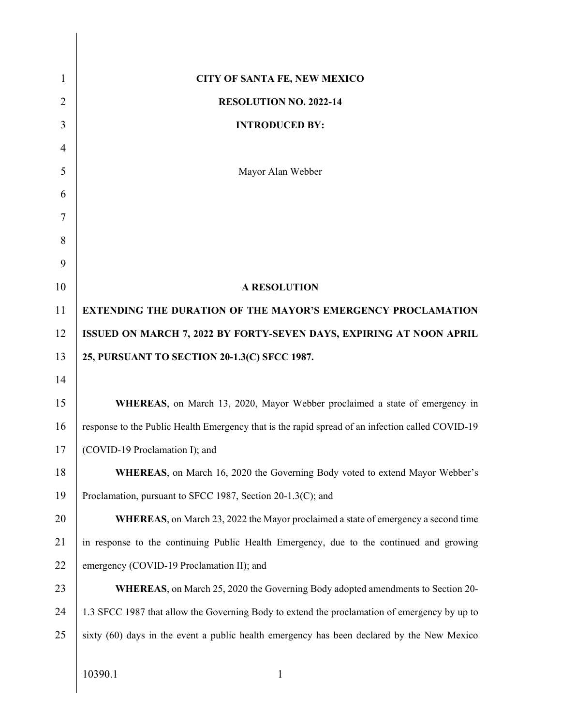| $\mathbf{1}$   | <b>CITY OF SANTA FE, NEW MEXICO</b>                                                              |
|----------------|--------------------------------------------------------------------------------------------------|
| $\overline{2}$ | <b>RESOLUTION NO. 2022-14</b>                                                                    |
| 3              | <b>INTRODUCED BY:</b>                                                                            |
| $\overline{4}$ |                                                                                                  |
| 5              | Mayor Alan Webber                                                                                |
| 6              |                                                                                                  |
| 7              |                                                                                                  |
| 8              |                                                                                                  |
| 9              |                                                                                                  |
| 10             | <b>A RESOLUTION</b>                                                                              |
| 11             | <b>EXTENDING THE DURATION OF THE MAYOR'S EMERGENCY PROCLAMATION</b>                              |
| 12             | <b>ISSUED ON MARCH 7, 2022 BY FORTY-SEVEN DAYS, EXPIRING AT NOON APRIL</b>                       |
| 13             | 25, PURSUANT TO SECTION 20-1.3(C) SFCC 1987.                                                     |
| 14             |                                                                                                  |
| 15             | WHEREAS, on March 13, 2020, Mayor Webber proclaimed a state of emergency in                      |
| 16             | response to the Public Health Emergency that is the rapid spread of an infection called COVID-19 |
| 17             | (COVID-19 Proclamation I); and                                                                   |
| 18             | <b>WHEREAS</b> , on March 16, 2020 the Governing Body voted to extend Mayor Webber's             |
| 19             | Proclamation, pursuant to SFCC 1987, Section 20-1.3(C); and                                      |
| 20             | <b>WHEREAS</b> , on March 23, 2022 the Mayor proclaimed a state of emergency a second time       |
| 21             | in response to the continuing Public Health Emergency, due to the continued and growing          |
| 22             | emergency (COVID-19 Proclamation II); and                                                        |
| 23             | <b>WHEREAS</b> , on March 25, 2020 the Governing Body adopted amendments to Section 20-          |
| 24             | 1.3 SFCC 1987 that allow the Governing Body to extend the proclamation of emergency by up to     |
| 25             | sixty (60) days in the event a public health emergency has been declared by the New Mexico       |
|                |                                                                                                  |
|                | 10390.1<br>$\mathbf{1}$                                                                          |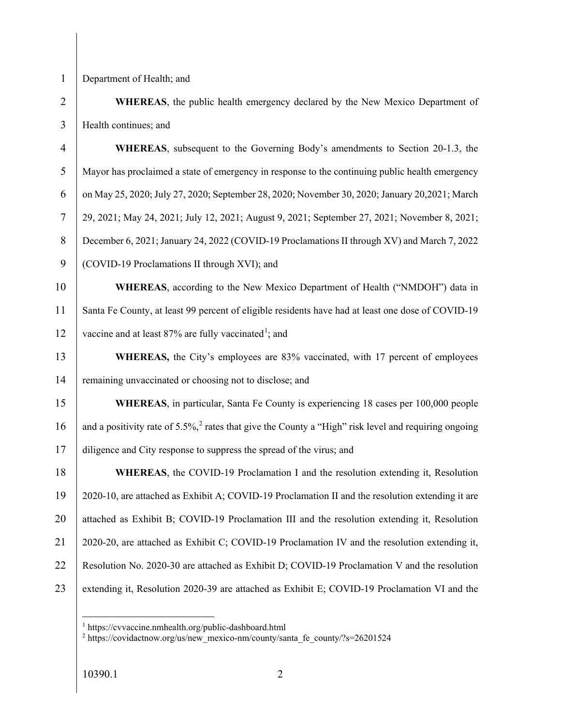1 Department of Health; and

2 **WHEREAS**, the public health emergency declared by the New Mexico Department of 3 | Health continues; and

4 **WHEREAS**, subsequent to the Governing Body's amendments to Section 20-1.3, the 5 Mayor has proclaimed a state of emergency in response to the continuing public health emergency 6 on May 25, 2020; July 27, 2020; September 28, 2020; November 30, 2020; January 20,2021; March 7 29, 2021; May 24, 2021; July 12, 2021; August 9, 2021; September 27, 2021; November 8, 2021; 8 December 6, 2021; January 24, 2022 (COVID-19 Proclamations II through XV) and March 7, 2022 9 COVID-19 Proclamations II through XVI); and 10 **WHEREAS**, according to the New Mexico Department of Health ("NMDOH") data in 11 Santa Fe County, at least 99 percent of eligible residents have had at least one dose of COVID-19 12 vaccine and at least  $87\%$  are fully vaccinated<sup>1</sup>; and 13 **WHEREAS**, the City's employees are 83% vaccinated, with 17 percent of employees 14 remaining unvaccinated or choosing not to disclose; and 15 **WHEREAS**, in particular, Santa Fe County is experiencing 18 cases per 100,000 people 16 and a positivity rate of 5.5%,<sup>2</sup> rates that give the County a "High" risk level and requiring ongoing 17 diligence and City response to suppress the spread of the virus; and 18 **WHEREAS**, the COVID-19 Proclamation I and the resolution extending it, Resolution 19 2020-10, are attached as Exhibit A; COVID-19 Proclamation II and the resolution extending it are 20 attached as Exhibit B; COVID-19 Proclamation III and the resolution extending it, Resolution 21 2020-20, are attached as Exhibit C; COVID-19 Proclamation IV and the resolution extending it, 22 Resolution No. 2020-30 are attached as Exhibit D; COVID-19 Proclamation V and the resolution

23 extending it, Resolution 2020-39 are attached as Exhibit E; COVID-19 Proclamation VI and the

 $\overline{a}$ 

<sup>1</sup> https://cvvaccine.nmhealth.org/public-dashboard.html

<sup>&</sup>lt;sup>2</sup> https://covidactnow.org/us/new\_mexico-nm/county/santa\_fe\_county/?s=26201524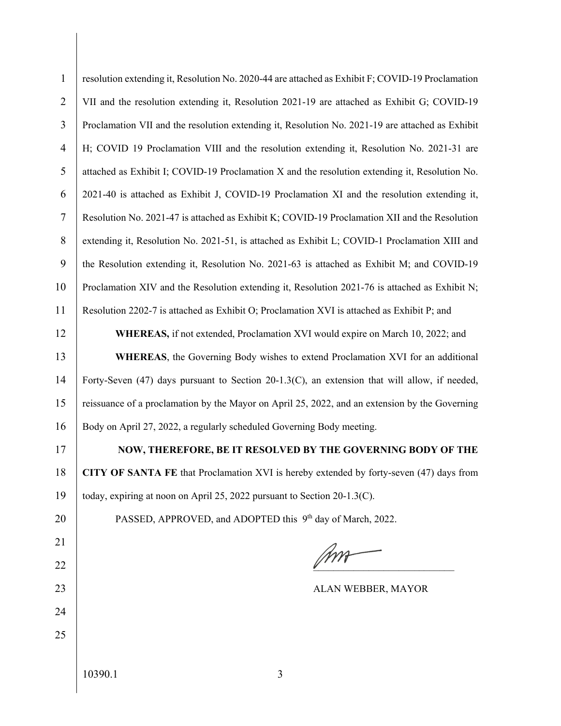| $\mathbf{1}$   | resolution extending it, Resolution No. 2020-44 are attached as Exhibit F; COVID-19 Proclamation |
|----------------|--------------------------------------------------------------------------------------------------|
| $\overline{2}$ | VII and the resolution extending it, Resolution 2021-19 are attached as Exhibit G; COVID-19      |
| 3              | Proclamation VII and the resolution extending it, Resolution No. 2021-19 are attached as Exhibit |
| $\overline{4}$ | H; COVID 19 Proclamation VIII and the resolution extending it, Resolution No. 2021-31 are        |
| 5              | attached as Exhibit I; COVID-19 Proclamation X and the resolution extending it, Resolution No.   |
| 6              | 2021-40 is attached as Exhibit J, COVID-19 Proclamation XI and the resolution extending it,      |
| $\tau$         | Resolution No. 2021-47 is attached as Exhibit K; COVID-19 Proclamation XII and the Resolution    |
| 8              | extending it, Resolution No. 2021-51, is attached as Exhibit L; COVID-1 Proclamation XIII and    |
| 9              | the Resolution extending it, Resolution No. 2021-63 is attached as Exhibit M; and COVID-19       |
| 10             | Proclamation XIV and the Resolution extending it, Resolution 2021-76 is attached as Exhibit N;   |
| 11             | Resolution 2202-7 is attached as Exhibit O; Proclamation XVI is attached as Exhibit P; and       |
| 12             | WHEREAS, if not extended, Proclamation XVI would expire on March 10, 2022; and                   |
| 13             | <b>WHEREAS</b> , the Governing Body wishes to extend Proclamation XVI for an additional          |
| 14             | Forty-Seven (47) days pursuant to Section 20-1.3(C), an extension that will allow, if needed,    |
| 15             | reissuance of a proclamation by the Mayor on April 25, 2022, and an extension by the Governing   |
| 16             | Body on April 27, 2022, a regularly scheduled Governing Body meeting.                            |
| 17             | NOW, THEREFORE, BE IT RESOLVED BY THE GOVERNING BODY OF THE                                      |
| 18             | CITY OF SANTA FE that Proclamation XVI is hereby extended by forty-seven (47) days from          |
| 19             | today, expiring at noon on April 25, 2022 pursuant to Section 20-1.3(C).                         |
| 20             | PASSED, APPROVED, and ADOPTED this 9 <sup>th</sup> day of March, 2022.                           |
| 21             |                                                                                                  |
| 22             |                                                                                                  |
| 23             | ALAN WEBBER, MAYOR                                                                               |
| 24             |                                                                                                  |
| 25             |                                                                                                  |
|                | 10390.1<br>3                                                                                     |